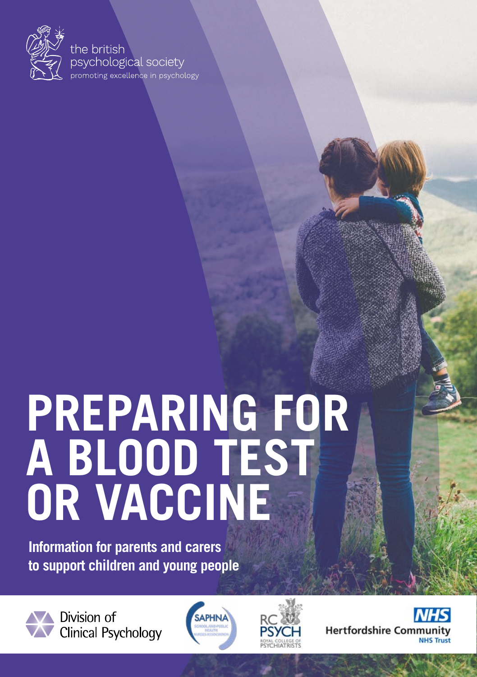

#### the british psychological society .<br>promoting excellence in psychology

# **PREPARING FOR A BLOOD TEST OR VACCINE**

**Information for parents and carers to support children and young people**



Division of Clinical Psychology





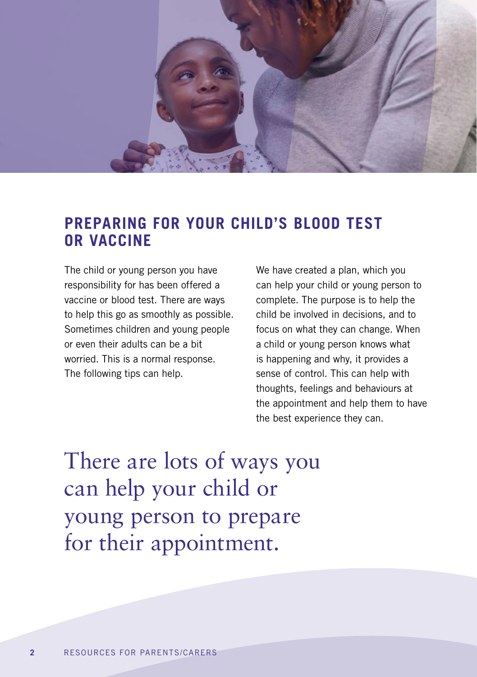

### **PREPARING FOR YOUR CHILD'S BLOOD TEST OR VACCINE**

The child or young person you have responsibility for has been offered a vaccine or blood test. There are ways to help this go as smoothly as possible. Sometimes children and young people or even their adults can be a bit worried. This is a normal response. The following tips can help.

We have created a plan, which you can help your child or young person to complete. The purpose is to help the child be involved in decisions, and to focus on what they can change. When a child or young person knows what is happening and why, it provides a sense of control. This can help with thoughts, feelings and behaviours at the appointment and help them to have the best experience they can.

There are lots of ways you can help your child or young person to prepare for their appointment.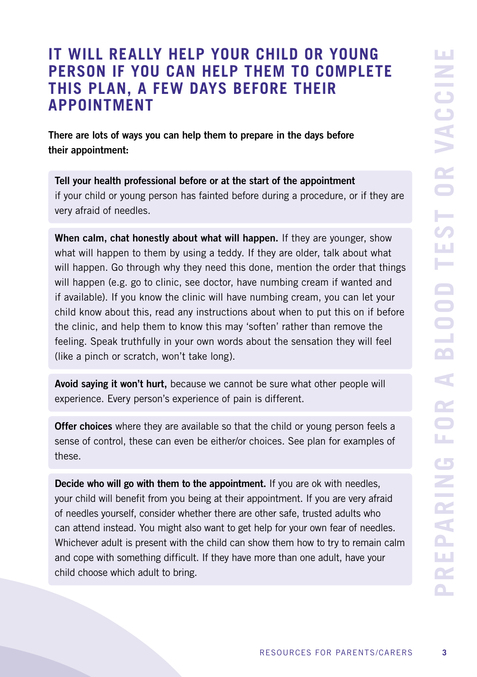## **IT WILL REALLY HELP YOUR CHILD OR YOUNG PERSON IF YOU CAN HELP THEM TO COMPLETE THIS PLAN, A FEW DAYS BEFORE THEIR APPOINTMENT**

There are lots of ways you can help them to prepare in the days before their appointment:

Tell your health professional before or at the start of the appointment if your child or young person has fainted before during a procedure, or if they are very afraid of needles.

When calm, chat honestly about what will happen. If they are younger, show what will happen to them by using a teddy. If they are older, talk about what will happen. Go through why they need this done, mention the order that things will happen (e.g. go to clinic, see doctor, have numbing cream if wanted and if available). If you know the clinic will have numbing cream, you can let your child know about this, read any instructions about when to put this on if before the clinic, and help them to know this may 'soften' rather than remove the feeling. Speak truthfully in your own words about the sensation they will feel (like a pinch or scratch, won't take long).

Avoid saying it won't hurt, because we cannot be sure what other people will experience. Every person's experience of pain is different.

**Offer choices** where they are available so that the child or young person feels a sense of control, these can even be either/or choices. See plan for examples of these.

Decide who will go with them to the appointment. If you are ok with needles, your child will benefit from you being at their appointment. If you are very afraid of needles yourself, consider whether there are other safe, trusted adults who can attend instead. You might also want to get help for your own fear of needles. Whichever adult is present with the child can show them how to try to remain calm and cope with something difficult. If they have more than one adult, have your child choose which adult to bring.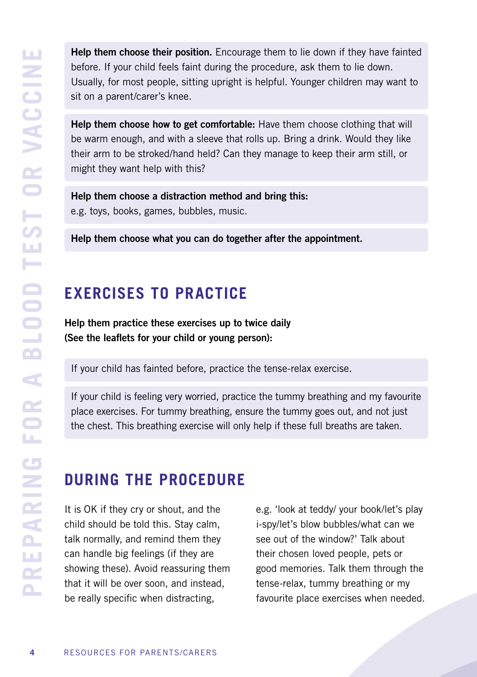Help them choose their position. Encourage them to lie down if they have fainted before. If your child feels faint during the procedure, ask them to lie down. Usually, for most people, sitting upright is helpful. Younger children may want to sit on a parent/carer's knee.

Help them choose how to get comfortable: Have them choose clothing that will be warm enough, and with a sleeve that rolls up. Bring a drink. Would they like their arm to be stroked/hand held? Can they manage to keep their arm still, or might they want help with this?

Help them choose a distraction method and bring this: e.g. toys, books, games, bubbles, music.

Help them choose what you can do together after the appointment.

## **EXERCISES TO PRACTICE**

Help them practice these exercises up to twice daily (See the leaflets for your child or young person):

If your child has fainted before, practice the tense-relax exercise.

If your child is feeling very worried, practice the tummy breathing and my favourite place exercises. For tummy breathing, ensure the tummy goes out, and not just the chest. This breathing exercise will only help if these full breaths are taken.

## **DURING THE PROCEDURE**

It is OK if they cry or shout, and the child should be told this. Stay calm, talk normally, and remind them they can handle big feelings (if they are showing these). Avoid reassuring them that it will be over soon, and instead, be really specific when distracting,

e.g. 'look at teddy/ your book/let's play i-spy/let's blow bubbles/what can we see out of the window?' Talk about their chosen loved people, pets or good memories. Talk them through the tense-relax, tummy breathing or my favourite place exercises when needed.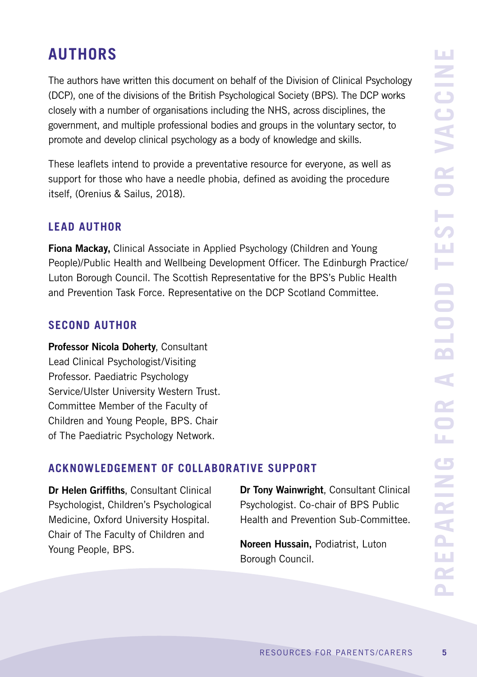## **AUTHORS**

The authors have written this document on behalf of the Division of Clinical Psychology (DCP), one of the divisions of the British Psychological Society (BPS). The DCP works closely with a number of organisations including the NHS, across disciplines, the government, and multiple professional bodies and groups in the voluntary sector, to promote and develop clinical psychology as a body of knowledge and skills.

These leaflets intend to provide a preventative resource for everyone, as well as support for those who have a needle phobia, defined as avoiding the procedure itself, (Orenius & Sailus, 2018).

#### **LEAD AUTHOR**

Fiona Mack**ay,** Clinical Associate in Applied Psychology (Children and Young People)/Public Health and Wellbeing Development Officer. The Edinburgh Practice/ Luton Borough Council. The Scottish Representative for the BPS's Public Health and Prevention Task Force. Representative on the DCP Scotland Committee.

#### **SECOND AUTHOR**

Professor Nicola Doherty, Consultant Lead Clinical Psychologist/Visiting Professor. Paediatric Psychology Service/Ulster University Western Trust. Committee Member of the Faculty of Children and Young People, BPS. Chair of The Paediatric Psychology Network.

#### **ACKNOWLEDGEMENT OF COLLABORATIVE SUPPORT**

Dr Helen Griffiths, Consultant Clinical Psychologist, Children's Psychological Medicine, Oxford University Hospital. Chair of The Faculty of Children and Young People, BPS.

Dr Tony Wainwright, Consultant Clinical Psychologist. Co-chair of BPS Public Health and Prevention Sub-Committee.

Noreen Hussain, Podiatrist, Luton Borough Council.